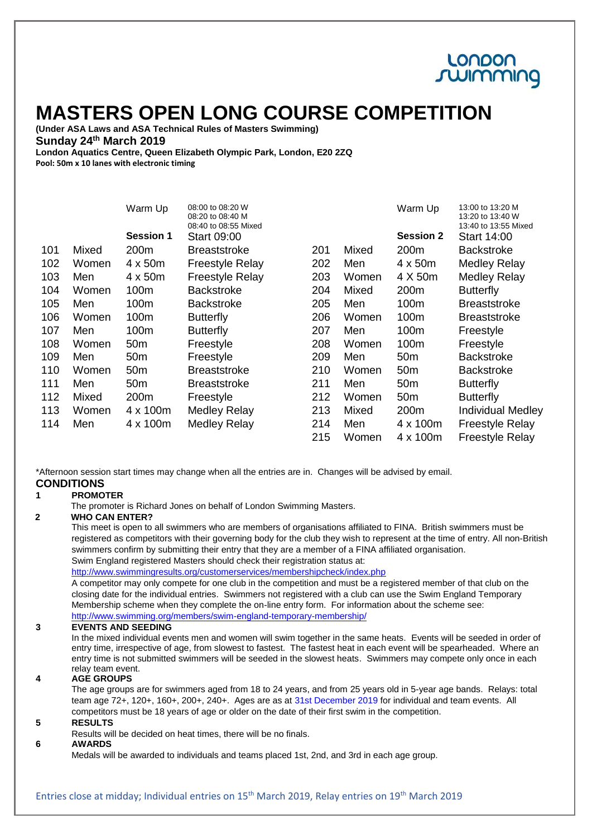## LONDON summing

# **MASTERS OPEN LONG COURSE COMPETITION**

**(Under ASA Laws and ASA Technical Rules of Masters Swimming) Sunday 24 th March 2019**

**London Aquatics Centre, Queen Elizabeth Olympic Park, London, E20 2ZQ Pool: 50m x 10 lanes with electronic timing** 

|     |       | Warm Up          | 08:00 to 08:20 W<br>08:20 to 08:40 M<br>08:40 to 08:55 Mixed |     |       | Warm Up          | 13:00 to 13:20 M<br>13:20 to 13:40 W<br>13:40 to 13:55 Mixed |
|-----|-------|------------------|--------------------------------------------------------------|-----|-------|------------------|--------------------------------------------------------------|
|     |       | <b>Session 1</b> | <b>Start 09:00</b>                                           |     |       | <b>Session 2</b> | <b>Start 14:00</b>                                           |
| 101 | Mixed | 200 <sub>m</sub> | <b>Breaststroke</b>                                          | 201 | Mixed | 200 <sub>m</sub> | <b>Backstroke</b>                                            |
| 102 | Women | 4 x 50m          | <b>Freestyle Relay</b>                                       | 202 | Men   | $4 \times 50m$   | <b>Medley Relay</b>                                          |
| 103 | Men   | 4 x 50m          | <b>Freestyle Relay</b>                                       | 203 | Women | 4 X 50m          | <b>Medley Relay</b>                                          |
| 104 | Women | 100m             | <b>Backstroke</b>                                            | 204 | Mixed | 200 <sub>m</sub> | <b>Butterfly</b>                                             |
| 105 | Men   | 100m             | <b>Backstroke</b>                                            | 205 | Men   | 100m             | <b>Breaststroke</b>                                          |
| 106 | Women | 100m             | <b>Butterfly</b>                                             | 206 | Women | 100m             | <b>Breaststroke</b>                                          |
| 107 | Men   | 100m             | <b>Butterfly</b>                                             | 207 | Men   | 100m             | Freestyle                                                    |
| 108 | Women | 50 <sub>m</sub>  | Freestyle                                                    | 208 | Women | 100m             | Freestyle                                                    |
| 109 | Men   | 50 <sub>m</sub>  | Freestyle                                                    | 209 | Men   | 50 <sub>m</sub>  | <b>Backstroke</b>                                            |
| 110 | Women | 50 <sub>m</sub>  | <b>Breaststroke</b>                                          | 210 | Women | 50 <sub>m</sub>  | <b>Backstroke</b>                                            |
| 111 | Men   | 50 <sub>m</sub>  | <b>Breaststroke</b>                                          | 211 | Men   | 50 <sub>m</sub>  | <b>Butterfly</b>                                             |
| 112 | Mixed | 200m             | Freestyle                                                    | 212 | Women | 50 <sub>m</sub>  | <b>Butterfly</b>                                             |
| 113 | Women | 4 x 100m         | <b>Medley Relay</b>                                          | 213 | Mixed | 200m             | <b>Individual Medley</b>                                     |
| 114 | Men   | 4 x 100m         | Medley Relay                                                 | 214 | Men   | 4 x 100m         | <b>Freestyle Relay</b>                                       |
|     |       |                  |                                                              | 215 | Women | 4 x 100m         | <b>Freestyle Relay</b>                                       |

\*Afternoon session start times may change when all the entries are in. Changes will be advised by email. **CONDITIONS**

#### **1 PROMOTER**

The promoter is Richard Jones on behalf of London Swimming Masters.

#### **2 WHO CAN ENTER?**

This meet is open to all swimmers who are members of organisations affiliated to FINA. British swimmers must be registered as competitors with their governing body for the club they wish to represent at the time of entry. All non-British swimmers confirm by submitting their entry that they are a member of a FINA affiliated organisation. Swim England registered Masters should check their registration status at:

<http://www.swimmingresults.org/customerservices/membershipcheck/index.php>

A competitor may only compete for one club in the competition and must be a registered member of that club on the closing date for the individual entries. Swimmers not registered with a club can use the Swim England Temporary Membership scheme when they complete the on-line entry form. For information about the scheme see: <http://www.swimming.org/members/swim-england-temporary-membership/>

**3 EVENTS AND SEEDING**

In the mixed individual events men and women will swim together in the same heats. Events will be seeded in order of entry time, irrespective of age, from slowest to fastest. The fastest heat in each event will be spearheaded. Where an entry time is not submitted swimmers will be seeded in the slowest heats. Swimmers may compete only once in each relay team event.

#### **4 AGE GROUPS**

The age groups are for swimmers aged from 18 to 24 years, and from 25 years old in 5-year age bands. Relays: total team age 72+, 120+, 160+, 200+, 240+. Ages are as at 31st December 2019 for individual and team events. All competitors must be 18 years of age or older on the date of their first swim in the competition.

#### **5 RESULTS**

Results will be decided on heat times, there will be no finals.

#### **6 AWARDS**

Medals will be awarded to individuals and teams placed 1st, 2nd, and 3rd in each age group.